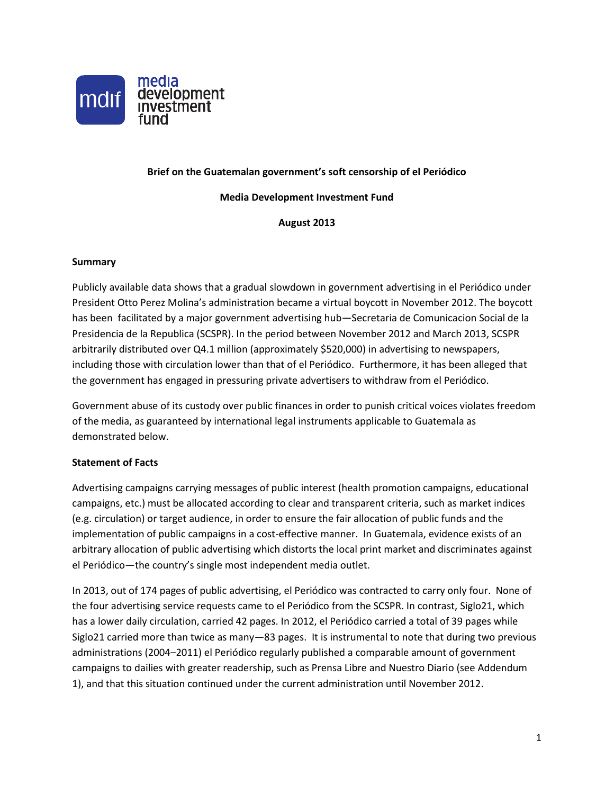

## **Brief on the Guatemalan government's soft censorship of el Periódico**

#### **Media Development Investment Fund**

## **August 2013**

#### **Summary**

Publicly available data shows that a gradual slowdown in government advertising i[n el Periódico](http://search.yahoo.com/r/_ylt=A0oG7nE.0MJR6ncAKdVXNyoA;_ylu=X3oDMTE0bW5qaHQ5BHNlYwNzcgRwb3MDMQRjb2xvA2FjMgR2dGlkA1NNRTIzM184MQ--/SIG=11uvtvqf7/EXP=1371750590/**http%3a/www.elperiodico.com.gt/%3ftpl=64110) under President Otto Perez Molina's administration became a virtual boycott in November 2012. The boycott has been facilitated by a major government advertising hub—Secretaria de Comunicacion Social de la Presidencia de la Republica (SCSPR). In the period between November 2012 and March 2013, SCSPR arbitrarily distributed over Q4.1 million (approximately \$520,000) in advertising to newspapers, including those with circulation lower than that of el Periódico. Furthermore, it has been alleged that the government has engaged in pressuring private advertisers to withdraw from el Periódico.

Government abuse of its custody over public finances in order to punish critical voices violates freedom of the media, as guaranteed by international legal instruments applicable to Guatemala as demonstrated below.

## **Statement of Facts**

Advertising campaigns carrying messages of public interest (health promotion campaigns, educational campaigns, etc.) must be allocated according to clear and transparent criteria, such as market indices (e.g. circulation) or target audience, in order to ensure the fair allocation of public funds and the implementation of public campaigns in a cost-effective manner. In Guatemala, evidence exists of an arbitrary allocation of public advertising which distorts the local print market and discriminates against el Periódico—the country's single most independent media outlet.

In 2013, out of 174 pages of public advertising, el Periódico was contracted to carry only four. None of the four advertising service requests came to el Periódico from the SCSPR. In contrast, Siglo21, which has a lower daily circulation, carried 42 pages. In 2012, el Periódico carried a total of 39 pages while Siglo21 carried more than twice as many—83 pages. It is instrumental to note that during two previous administrations (2004–2011) el Periódico regularly published a comparable amount of government campaigns to dailies with greater readership, such as Prensa Libre and Nuestro Diario (see Addendum 1), and that this situation continued under the current administration until November 2012.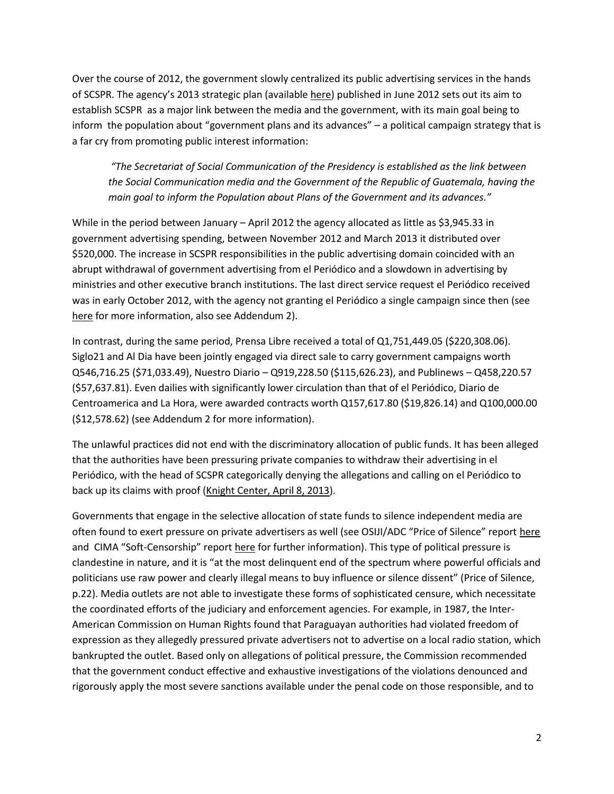Over the course of 2012, the government slowly centralized its public advertising services in the hands of SCSPR. The agency's 2013 strategic plan (available [here\)](http://168.234.200.197/docs/05.%20Plan%20Operativo%20Anual%202013.pdf) published in June 2012 sets out its aim to establish SCSPR as a major link between the media and the government, with its main goal being to inform the population about "government plans and its advances" – a political campaign strategy that is a far cry from promoting public interest information:

*"The Secretariat of Social Communication of the Presidency is established as the link between the Social Communication media and the Government of the Republic of Guatemala, having the main goal to inform the Population about Plans of the Government and its advances."*

While in the period between January – April 2012 the agency allocated as little as \$3,945.33 in government advertising spending, between November 2012 and March 2013 it distributed over \$520,000. The increase in SCSPR responsibilities in the public advertising domain coincided with an abrupt withdrawal of government advertising from el Periódico and a slowdown in advertising by ministries and other executive branch institutions. The last direct service request el Periódico received was in early October 2012, with the agency not granting el Periódico a single campaign since then (see [here](http://168.234.200.197/leyscspr.php?tipo=27) for more information, also see Addendum 2).

In contrast, during the same period, Prensa Libre received a total of Q1,751,449.05 (\$220,308.06). Siglo21 and Al Dia have been jointly engaged via direct sale to carry government campaigns worth Q546,716.25 (\$71,033.49), Nuestro Diario – Q919,228.50 (\$115,626.23), and Publinews – Q458,220.57 (\$57,637.81). Even dailies with significantly lower circulation than that of el Periódico, Diario de Centroamerica and La Hora, were awarded contracts worth Q157,617.80 (\$19,826.14) and Q100,000.00 (\$12,578.62) (see Addendum 2 for more information).

The unlawful practices did not end with the discriminatory allocation of public funds. It has been alleged that the authorities have been pressuring private companies to withdraw their advertising in el Periódico, with the head of SCSPR categorically denying the allegations and calling on el Periódico to back up its claims with proof [\(Knight Center, April 8, 2013\)](https://knightcenter.utexas.edu/blog/00-13573-cyberattack-el-periodico-guatemala-most-recent-long-history-aggressions).

Governments that engage in the selective allocation of state funds to silence independent media are often found to exert pressure on private advertisers as well (see OSIJI/ADC "Price of Silence" report [here](http://www.opensocietyfoundations.org/sites/default/files/silence_20080811.pdf) and CIMA "Soft-Censorship" report [here](http://cima.ned.org/publications/research-reports/soft-censorship-how-governments-around-globe-use-money-manipulate-medi) for further information). This type of political pressure is clandestine in nature, and it is "at the most delinquent end of the spectrum where powerful officials and politicians use raw power and clearly illegal means to buy influence or silence dissent" (Price of Silence, p.22). Media outlets are not able to investigate these forms of sophisticated censure, which necessitate the coordinated efforts of the judiciary and enforcement agencies. For example, in 1987, the Inter-American Commission on Human Rights found that Paraguayan authorities had violated freedom of expression as they allegedly pressured private advertisers not to advertise on a local radio station, which bankrupted the outlet. Based only on allegations of political pressure, the Commission recommended that the government conduct effective and exhaustive investigations of the violations denounced and rigorously apply the most severe sanctions available under the penal code on those responsible, and to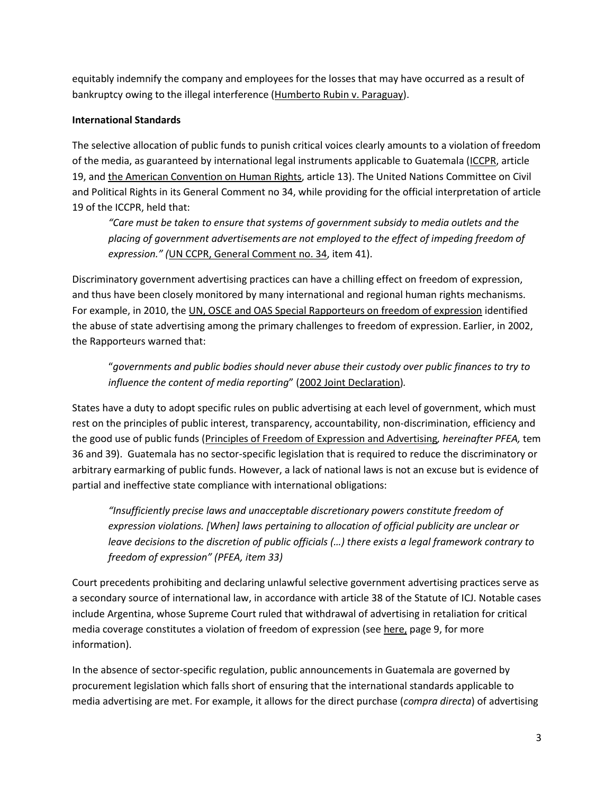equitably indemnify the company and employees for the losses that may have occurred as a result of bankruptcy owing to the illegal interference [\(Humberto Rubin v. Paraguay\)](http://www.cidh.oas.org/annualrep/86.87eng/Paraguay9642.htm).

# **International Standards**

The selective allocation of public funds to punish critical voices clearly amounts to a violation of freedom of the media, as guaranteed by international legal instruments applicable to Guatemala [\(ICCPR,](http://www.google.com/url?sa=t&rct=j&q=&esrc=s&source=web&cd=3&sqi=2&ved=0CDwQFjAC&url=http%3A%2F%2Ftreaties.un.org%2Fdoc%2FPublication%2FUNTS%2FVolume%2520999%2Fvolume-999-I-14668-English.pdf&ei=YES_Ucq0L8Hm0gGjnICwDA&usg=AFQjCNHQAB_x9lCaOLwfnai0-5a_K67yoQ&bvm=bv.47883778,d.dmQ) article 19, an[d the American Convention on Human Rights,](http://www.oas.org/dil/treaties_B-32_American_Convention_on_Human_Rights.pdf) article 13). The United Nations Committee on Civil and Political Rights in its General Comment no 34, while providing for the official interpretation of article 19 of the ICCPR, held that:

*"Care must be taken to ensure that systems of government subsidy to media outlets and the placing of government advertisements are not employed to the effect of impeding freedom of expression." (*[UN CCPR, General Comment no. 34,](http://www2.ohchr.org/english/bodies/hrc/docs/GC34.pdf) item 41).

Discriminatory government advertising practices can have a chilling effect on freedom of expression, and thus have been closely monitored by many international and regional human rights mechanisms. For example, in 2010, the [UN, OSCE and OAS Special Rapporteurs on freedom of expression](http://www.osce.org/fom/41439) identified the abuse of state advertising among the primary challenges to freedom of expression. Earlier, in 2002, the Rapporteurs warned that:

"*governments and public bodies should never abuse their custody over public finances to try to influence the content of media reporting*" ([2002 Joint Declaration\)](http://www.osce.org/fom/39838)*.*

States have a duty to adopt specific rules on public advertising at each level of government, which must rest on the principles of public interest, transparency, accountability, non-discrimination, efficiency and the good use of public funds [\(Principles of Freedom of Expression and Advertising](http://www.oas.org/en/iachr/expression/docs/publications/ADVERTISING%20PRINCIPLES%202012%2005%2007%20reduce.pdf)*, hereinafter PFEA,* tem 36 and 39). Guatemala has no sector-specific legislation that is required to reduce the discriminatory or arbitrary earmarking of public funds. However, a lack of national laws is not an excuse but is evidence of partial and ineffective state compliance with international obligations:

*"Insufficiently precise laws and unacceptable discretionary powers constitute freedom of expression violations. [When] laws pertaining to allocation of official publicity are unclear or leave decisions to the discretion of public officials (…) there exists a legal framework contrary to freedom of expression" (PFEA, item 33)* 

Court precedents prohibiting and declaring unlawful selective government advertising practices serve as a secondary source of international law, in accordance with article 38 of the Statute of ICJ. Notable cases include Argentina, whose Supreme Court ruled that withdrawal of advertising in retaliation for critical media coverage constitutes a violation of freedom of expression (se[e here,](http://www.opensocietyfoundations.org/sites/default/files/silence_20080811.pdf) page 9, for more information).

In the absence of sector-specific regulation, public announcements in Guatemala are governed by procurement legislation which falls short of ensuring that the international standards applicable to media advertising are met. For example, it allows for the direct purchase (*compra directa*) of advertising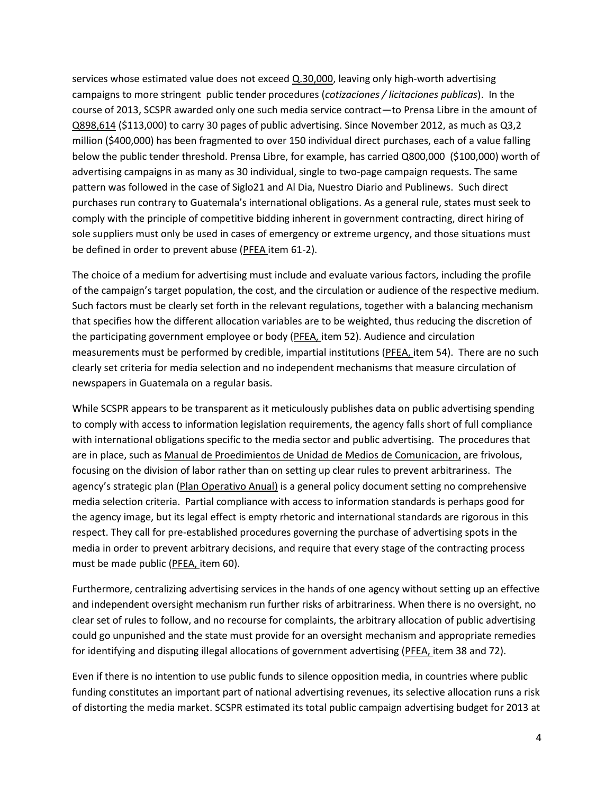services whose estimated value does not exceed [Q.30,000,](http://www.sice.oas.org/investment/NatLeg/GTM/ContratsEstado_s.pdf) leaving only high-worth advertising campaigns to more stringent public tender procedures (*cotizaciones / licitaciones publicas*). In the course of 2013, SCSPR awarded only one such media service contract—to Prensa Libre in the amount of [Q898,614](http://168.234.200.197/docs/10.%20Cotizaciones%20al%2015%20de%20Mayo%202013.pdf) (\$113,000) to carry 30 pages of public advertising. Since November 2012, as much as Q3,2 million (\$400,000) has been fragmented to over 150 individual direct purchases, each of a value falling below the public tender threshold. Prensa Libre, for example, has carried Q800,000 (\$100,000) worth of advertising campaigns in as many as 30 individual, single to two-page campaign requests. The same pattern was followed in the case of Siglo21 and Al Dia, Nuestro Diario and Publinews. Such direct purchases run contrary to Guatemala's international obligations. As a general rule, states must seek to comply with the principle of competitive bidding inherent in government contracting, direct hiring of sole suppliers must only be used in cases of emergency or extreme urgency, and those situations must be defined in order to prevent abuse [\(PFEA](http://www.oas.org/en/iachr/expression/docs/publications/ADVERTISING%20PRINCIPLES%202012%2005%2007%20reduce.pdf) item 61-2).

The choice of a medium for advertising must include and evaluate various factors, including the profile of the campaign's target population, the cost, and the circulation or audience of the respective medium. Such factors must be clearly set forth in the relevant regulations, together with a balancing mechanism that specifies how the different allocation variables are to be weighted, thus reducing the discretion of the participating government employee or body [\(PFEA,](http://www.oas.org/en/iachr/expression/docs/publications/ADVERTISING%20PRINCIPLES%202012%2005%2007%20reduce.pdf) item 52). Audience and circulation measurements must be performed by credible, impartial institutions [\(PFEA,](http://www.oas.org/en/iachr/expression/docs/publications/ADVERTISING%20PRINCIPLES%202012%2005%2007%20reduce.pdf) item 54). There are no such clearly set criteria for media selection and no independent mechanisms that measure circulation of newspapers in Guatemala on a regular basis.

While SCSPR appears to be transparent as it meticulously publishes data on public advertising spending to comply with access to information legislation requirements, the agency falls short of full compliance with international obligations specific to the media sector and public advertising. The procedures that are in place, such as Manual [de Proedimientos de Unidad de Medios de Comunicacion,](http://168.234.200.197/docs/06.%20Manual%20de%20Procedimientos%20Unidad%20de%20Medios%20de%20Comunicacion.pdf) are frivolous, focusing on the division of labor rather than on setting up clear rules to prevent arbitrariness. The agency's strategic plan ([Plan Operativo Anual\)](http://168.234.200.197/docs/05.%20Plan%20Operativo%20Anual%202013.pdf) is a general policy document setting no comprehensive media selection criteria. Partial compliance with access to information standards is perhaps good for the agency image, but its legal effect is empty rhetoric and international standards are rigorous in this respect. They call for pre-established procedures governing the purchase of advertising spots in the media in order to prevent arbitrary decisions, and require that every stage of the contracting process must be made public [\(PFEA,](http://www.oas.org/en/iachr/expression/docs/publications/ADVERTISING%20PRINCIPLES%202012%2005%2007%20reduce.pdf) item 60).

Furthermore, centralizing advertising services in the hands of one agency without setting up an effective and independent oversight mechanism run further risks of arbitrariness. When there is no oversight, no clear set of rules to follow, and no recourse for complaints, the arbitrary allocation of public advertising could go unpunished and the state must provide for an oversight mechanism and appropriate remedies for identifying and disputing illegal allocations of government advertising [\(PFEA,](http://www.oas.org/en/iachr/expression/docs/publications/ADVERTISING%20PRINCIPLES%202012%2005%2007%20reduce.pdf) item 38 and 72).

Even if there is no intention to use public funds to silence opposition media, in countries where public funding constitutes an important part of national advertising revenues, its selective allocation runs a risk of distorting the media market. SCSPR estimated its total public campaign advertising budget for 2013 at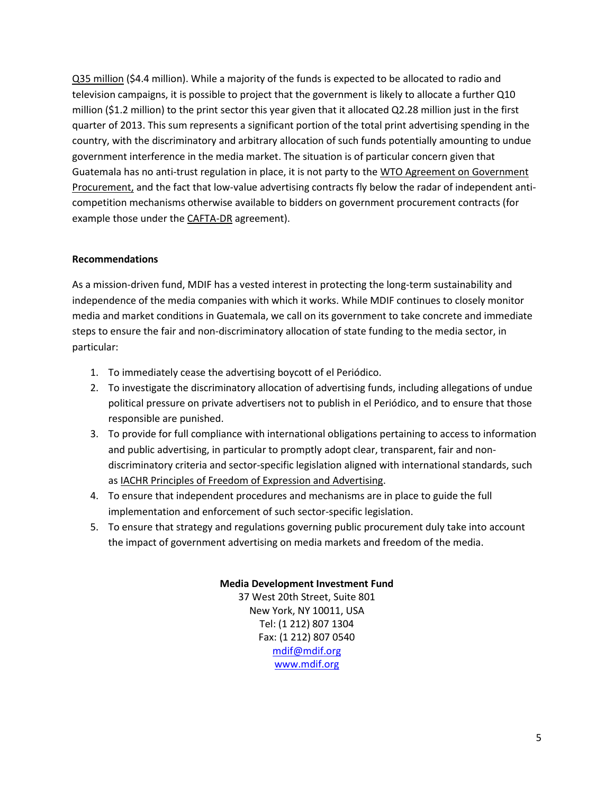[Q35 million](http://168.234.200.197/docs/29.%20Plan%20Anual%20de%20Compras%202013.pdf) (\$4.4 million). While a majority of the funds is expected to be allocated to radio and television campaigns, it is possible to project that the government is likely to allocate a further Q10 million (\$1.2 million) to the print sector this year given that it allocated Q2.28 million just in the first quarter of 2013. This sum represents a significant portion of the total print advertising spending in the country, with the discriminatory and arbitrary allocation of such funds potentially amounting to undue government interference in the media market. The situation is of particular concern given that Guatemala has no anti-trust regulation in place, it is not party to the [WTO Agreement on Government](http://www.wto.org/english/tratop_e/gproc_e/memobs_e.htm)  [Procurement,](http://www.wto.org/english/tratop_e/gproc_e/memobs_e.htm) and the fact that low-value advertising contracts fly below the radar of independent anticompetition mechanisms otherwise available to bidders on government procurement contracts (for example those under the **CAFTA-DR** agreement).

## **Recommendations**

As a mission-driven fund, MDIF has a vested interest in protecting the long-term sustainability and independence of the media companies with which it works. While MDIF continues to closely monitor media and market conditions in Guatemala, we call on its government to take concrete and immediate steps to ensure the fair and non-discriminatory allocation of state funding to the media sector, in particular:

- 1. To immediately cease the advertising boycott of el Periódico.
- 2. To investigate the discriminatory allocation of advertising funds, including allegations of undue political pressure on private advertisers not to publish in el Periódico, and to ensure that those responsible are punished.
- 3. To provide for full compliance with international obligations pertaining to access to information and public advertising, in particular to promptly adopt clear, transparent, fair and nondiscriminatory criteria and sector-specific legislation aligned with international standards, such as [IACHR Principles of Freedom of Expression and Advertising.](http://www.oas.org/en/iachr/expression/docs/publications/ADVERTISING%20PRINCIPLES%202012%2005%2007%20reduce.pdf)
- 4. To ensure that independent procedures and mechanisms are in place to guide the full implementation and enforcement of such sector-specific legislation.
- 5. To ensure that strategy and regulations governing public procurement duly take into account the impact of government advertising on media markets and freedom of the media.

# **Media Development Investment Fund**

37 West 20th Street, Suite 801 New York, NY 10011, USA Tel: (1 212) 807 1304 Fax: (1 212) 807 0540 [mdif@mdif.org](mailto:mdif@mdif.org) [www.mdif.org](http://www.mdif.org/)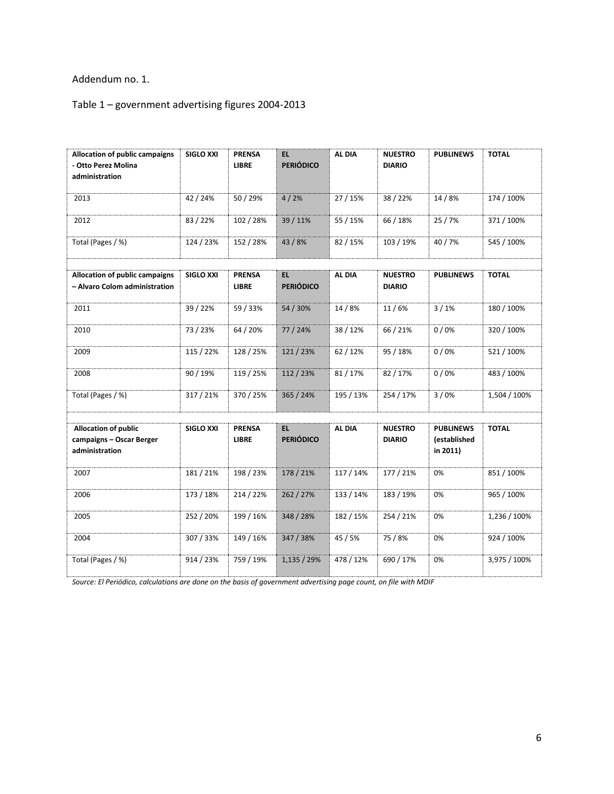# Addendum no. 1.

# Table 1 – government advertising figures 2004-2013

| Allocation of public campaigns<br>- Otto Perez Molina<br>administration   | <b>SIGLO XXI</b> | <b>PRENSA</b><br><b>LIBRE</b> | EL.<br><b>PERIÓDICO</b> | AL DIA    | <b>NUESTRO</b><br><b>DIARIO</b> | <b>PUBLINEWS</b>                             | <b>TOTAL</b> |
|---------------------------------------------------------------------------|------------------|-------------------------------|-------------------------|-----------|---------------------------------|----------------------------------------------|--------------|
| 2013                                                                      | 42 / 24%         | 50 / 29%                      | 4/2%                    | 27 / 15%  | 38 / 22%                        | 14/8%                                        | 174 / 100%   |
| 2012                                                                      | 83/22%           | 102 / 28%                     | 39 / 11%                | 55 / 15%  | 66 / 18%                        | 25/7%                                        | 371 / 100%   |
| Total (Pages / %)                                                         | 124 / 23%        | 152 / 28%                     | 43 / 8%                 | 82 / 15%  | 103 / 19%                       | 40 / 7%                                      | 545 / 100%   |
|                                                                           |                  |                               |                         |           |                                 |                                              |              |
| Allocation of public campaigns<br>- Alvaro Colom administration           | <b>SIGLO XXI</b> | <b>PRENSA</b><br><b>LIBRE</b> | EL.<br><b>PERIÓDICO</b> | AL DIA    | <b>NUESTRO</b><br><b>DIARIO</b> | <b>PUBLINEWS</b>                             | <b>TOTAL</b> |
| 2011                                                                      | 39 / 22%         | 59 / 33%                      | 54 / 30%                | 14 / 8%   | 11/6%                           | 3/1%                                         | 180 / 100%   |
| 2010                                                                      | 73 / 23%         | 64 / 20%                      | 77 / 24%                | 38 / 12%  | 66 / 21%                        | 0/0%                                         | 320 / 100%   |
| 2009                                                                      | 115 / 22%        | 128 / 25%                     | 121/23%                 | 62 / 12%  | 95 / 18%                        | 0/0%                                         | 521 / 100%   |
| 2008                                                                      | 90 / 19%         | 119 / 25%                     | 112 / 23%               | 81 / 17%  | 82 / 17%                        | 0/0%                                         | 483 / 100%   |
| Total (Pages / %)                                                         | 317 / 21%        | 370 / 25%                     | 365 / 24%               | 195 / 13% | 254 / 17%                       | 3/0%                                         | 1,504 / 100% |
|                                                                           |                  |                               |                         |           |                                 |                                              |              |
| <b>Allocation of public</b><br>campaigns - Oscar Berger<br>administration | <b>SIGLO XXI</b> | <b>PRENSA</b><br><b>LIBRE</b> | EL.<br><b>PERIÓDICO</b> | AL DIA    | <b>NUESTRO</b><br><b>DIARIO</b> | <b>PUBLINEWS</b><br>(established<br>in 2011) | <b>TOTAL</b> |
| 2007                                                                      | 181/21%          | 198 / 23%                     | 178 / 21%               | 117 / 14% | 177 / 21%                       | 0%                                           | 851 / 100%   |
| 2006                                                                      | 173 / 18%        | 214 / 22%                     | 262 / 27%               | 133 / 14% | 183 / 19%                       | 0%                                           | 965 / 100%   |
| 2005                                                                      | 252 / 20%        | 199 / 16%                     | 348 / 28%               | 182 / 15% | 254 / 21%                       | 0%                                           | 1,236 / 100% |
| 2004                                                                      | 307 / 33%        | 149 / 16%                     | 347 / 38%               | 45 / 5%   | 75 / 8%                         | 0%                                           | 924 / 100%   |
| Total (Pages / %)                                                         | 914 / 23%        | 759 / 19%                     | 1,135 / 29%             | 478 / 12% | 690 / 17%                       | 0%                                           | 3,975 / 100% |

*Source: El Periódico, calculations are done on the basis of government advertising page count, on file with MDIF*